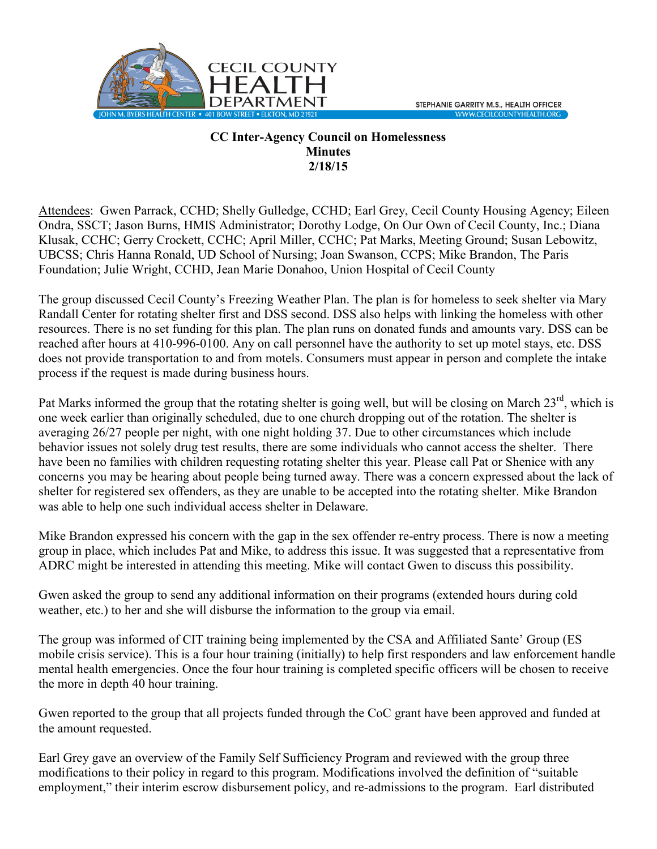

## **CC Inter-Agency Council on Homelessness Minutes 2/18/15**

Attendees: Gwen Parrack, CCHD; Shelly Gulledge, CCHD; Earl Grey, Cecil County Housing Agency; Eileen Ondra, SSCT; Jason Burns, HMIS Administrator; Dorothy Lodge, On Our Own of Cecil County, Inc.; Diana Klusak, CCHC; Gerry Crockett, CCHC; April Miller, CCHC; Pat Marks, Meeting Ground; Susan Lebowitz, UBCSS; Chris Hanna Ronald, UD School of Nursing; Joan Swanson, CCPS; Mike Brandon, The Paris Foundation; Julie Wright, CCHD, Jean Marie Donahoo, Union Hospital of Cecil County

The group discussed Cecil County's Freezing Weather Plan. The plan is for homeless to seek shelter via Mary Randall Center for rotating shelter first and DSS second. DSS also helps with linking the homeless with other resources. There is no set funding for this plan. The plan runs on donated funds and amounts vary. DSS can be reached after hours at 410-996-0100. Any on call personnel have the authority to set up motel stays, etc. DSS does not provide transportation to and from motels. Consumers must appear in person and complete the intake process if the request is made during business hours.

Pat Marks informed the group that the rotating shelter is going well, but will be closing on March  $23^{\text{rd}}$ , which is one week earlier than originally scheduled, due to one church dropping out of the rotation. The shelter is averaging 26/27 people per night, with one night holding 37. Due to other circumstances which include behavior issues not solely drug test results, there are some individuals who cannot access the shelter. There have been no families with children requesting rotating shelter this year. Please call Pat or Shenice with any concerns you may be hearing about people being turned away. There was a concern expressed about the lack of shelter for registered sex offenders, as they are unable to be accepted into the rotating shelter. Mike Brandon was able to help one such individual access shelter in Delaware.

Mike Brandon expressed his concern with the gap in the sex offender re-entry process. There is now a meeting group in place, which includes Pat and Mike, to address this issue. It was suggested that a representative from ADRC might be interested in attending this meeting. Mike will contact Gwen to discuss this possibility.

Gwen asked the group to send any additional information on their programs (extended hours during cold weather, etc.) to her and she will disburse the information to the group via email.

The group was informed of CIT training being implemented by the CSA and Affiliated Sante' Group (ES mobile crisis service). This is a four hour training (initially) to help first responders and law enforcement handle mental health emergencies. Once the four hour training is completed specific officers will be chosen to receive the more in depth 40 hour training.

Gwen reported to the group that all projects funded through the CoC grant have been approved and funded at the amount requested.

Earl Grey gave an overview of the Family Self Sufficiency Program and reviewed with the group three modifications to their policy in regard to this program. Modifications involved the definition of "suitable employment," their interim escrow disbursement policy, and re-admissions to the program. Earl distributed